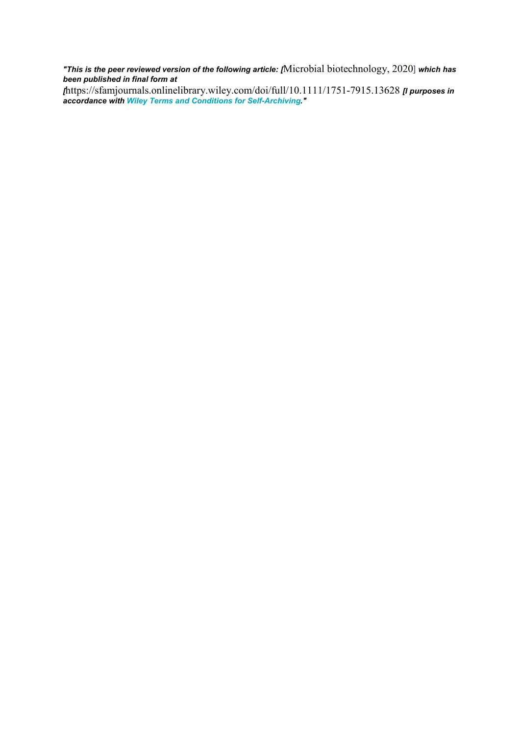*"This is the peer reviewed version of the following article: [*Microbial biotechnology, 2020] *which has been published in final form at*

*[*https://sfamjournals.onlinelibrary.wiley.com/doi/full/10.1111/1751-7915.13628 *[l purposes in accordance with Wiley Terms and Conditions for [Self-Archiving.](http://olabout.wiley.com/WileyCDA/Section/id-828039.html#terms)"*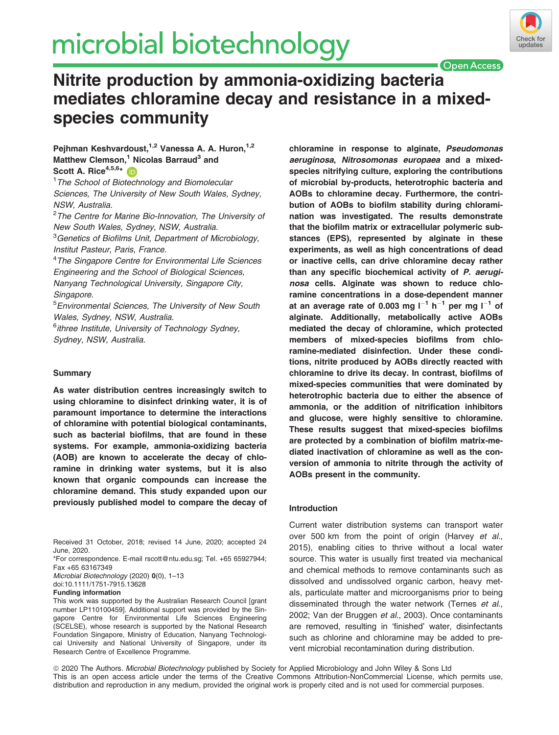# microbial biotechnology



**Open Access** 

# Nitrite production by ammonia-oxidizing bacteria mediates chloramine decay and resistance in a mixedspecies community

# Peihman Keshvardoust, <sup>1,2</sup> Vanessa A. A. Huron.<sup>1,2</sup> Matthew Clemson,<sup>1</sup> Nicolas Barraud<sup>3</sup> and Scott A. Rice $4,5,6*$  (in

<sup>1</sup> The School of Biotechnology and Biomolecular Sciences, The University of New South Wales, Sydney, NSW, Australia.

<sup>2</sup>The Centre for Marine Bio-Innovation, The University of New South Wales, Sydney, NSW, Australia.

<sup>3</sup>Genetics of Biofilms Unit, Department of Microbiology, Institut Pasteur, Paris, France.

<sup>4</sup>The Singapore Centre for Environmental Life Sciences Engineering and the School of Biological Sciences, Nanyang Technological University, Singapore City, Singapore.

5 Environmental Sciences, The University of New South Wales, Sydney, NSW, Australia.

<sup>6</sup>ithree Institute, University of Technology Sydney, Sydney, NSW, Australia.

# **Summary**

As water distribution centres increasingly switch to using chloramine to disinfect drinking water, it is of paramount importance to determine the interactions of chloramine with potential biological contaminants, such as bacterial biofilms, that are found in these systems. For example, ammonia-oxidizing bacteria (AOB) are known to accelerate the decay of chloramine in drinking water systems, but it is also known that organic compounds can increase the chloramine demand. This study expanded upon our previously published model to compare the decay of

Received 31 October, 2018; revised 14 June, 2020; accepted 24 June, 2020.

\*For correspondence. E-mail [rscott@ntu.edu.sg;](mailto:) Tel. +65 65927944; Fax +65 63167349

Microbial Biotechnology (2020) 0(0), 1–13 doi:10.1111/1751-7915.13628

### Funding information

This work was supported by the Australian Research Council [grant number LP110100459]. Additional support was provided by the Singapore Centre for Environmental Life Sciences Engineering (SCELSE), whose research is supported by the National Research Foundation Singapore, Ministry of Education, Nanyang Technological University and National University of Singapore, under its Research Centre of Excellence Programme.

chloramine in response to alginate, Pseudomonas aeruginosa, Nitrosomonas europaea and a mixedspecies nitrifying culture, exploring the contributions of microbial by-products, heterotrophic bacteria and AOBs to chloramine decay. Furthermore, the contribution of AOBs to biofilm stability during chloramination was investigated. The results demonstrate that the biofilm matrix or extracellular polymeric substances (EPS), represented by alginate in these experiments, as well as high concentrations of dead or inactive cells, can drive chloramine decay rather than any specific biochemical activity of P. aeruginosa cells. Alginate was shown to reduce chloramine concentrations in a dose-dependent manner at an average rate of 0.003 mg  $I^{-1}$  h<sup>-1</sup> per mg  $I^{-1}$  of alginate. Additionally, metabolically active AOBs mediated the decay of chloramine, which protected members of mixed-species biofilms from chloramine-mediated disinfection. Under these conditions, nitrite produced by AOBs directly reacted with chloramine to drive its decay. In contrast, biofilms of mixed-species communities that were dominated by heterotrophic bacteria due to either the absence of ammonia, or the addition of nitrification inhibitors and glucose, were highly sensitive to chloramine. These results suggest that mixed-species biofilms are protected by a combination of biofilm matrix-mediated inactivation of chloramine as well as the conversion of ammonia to nitrite through the activity of AOBs present in the community.

# Introduction

Current water distribution systems can transport water over 500 km from the point of origin (Harvey et al., 2015), enabling cities to thrive without a local water source. This water is usually first treated via mechanical and chemical methods to remove contaminants such as dissolved and undissolved organic carbon, heavy metals, particulate matter and microorganisms prior to being disseminated through the water network (Ternes et al., 2002; Van der Bruggen et al., 2003). Once contaminants are removed, resulting in 'finished' water, disinfectants such as chlorine and chloramine may be added to prevent microbial recontamination during distribution.

ª 2020 The Authors. Microbial Biotechnology published by Society for Applied Microbiology and John Wiley & Sons Ltd This is an open access article under the terms of the [Creative Commons Attribution-NonCommercial](http://creativecommons.org/licenses/by-nc/4.0/) License, which permits use, distribution and reproduction in any medium, provided the original work is properly cited and is not used for commercial purposes.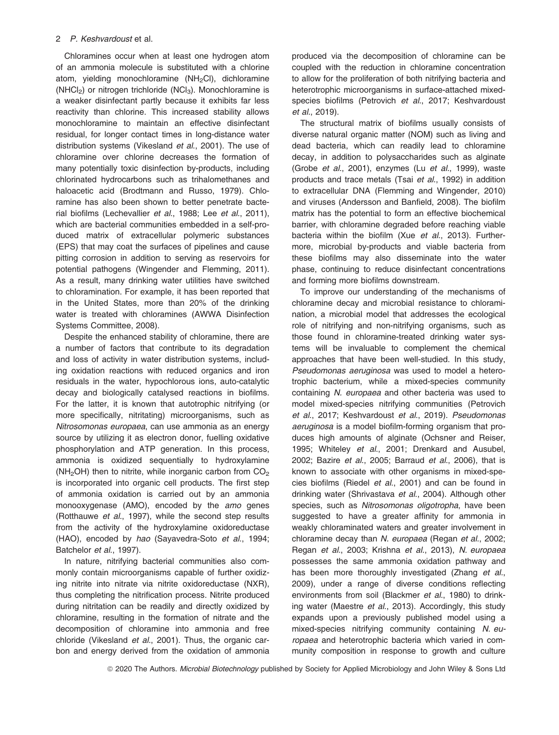# 2 P. Keshvardoust et al.

Chloramines occur when at least one hydrogen atom of an ammonia molecule is substituted with a chlorine atom, yielding monochloramine  $(NH<sub>2</sub>Cl)$ , dichloramine ( $NHCI<sub>2</sub>$ ) or nitrogen trichloride ( $NCI<sub>3</sub>$ ). Monochloramine is a weaker disinfectant partly because it exhibits far less reactivity than chlorine. This increased stability allows monochloramine to maintain an effective disinfectant residual, for longer contact times in long-distance water distribution systems (Vikesland et al., 2001). The use of chloramine over chlorine decreases the formation of many potentially toxic disinfection by-products, including chlorinated hydrocarbons such as trihalomethanes and haloacetic acid (Brodtmann and Russo, 1979). Chloramine has also been shown to better penetrate bacterial biofilms (Lechevallier et al., 1988; Lee et al., 2011), which are bacterial communities embedded in a self-produced matrix of extracellular polymeric substances (EPS) that may coat the surfaces of pipelines and cause pitting corrosion in addition to serving as reservoirs for potential pathogens (Wingender and Flemming, 2011). As a result, many drinking water utilities have switched to chloramination. For example, it has been reported that in the United States, more than 20% of the drinking water is treated with chloramines (AWWA Disinfection Systems Committee, 2008).

Despite the enhanced stability of chloramine, there are a number of factors that contribute to its degradation and loss of activity in water distribution systems, including oxidation reactions with reduced organics and iron residuals in the water, hypochlorous ions, auto-catalytic decay and biologically catalysed reactions in biofilms. For the latter, it is known that autotrophic nitrifying (or more specifically, nitritating) microorganisms, such as Nitrosomonas europaea, can use ammonia as an energy source by utilizing it as electron donor, fuelling oxidative phosphorylation and ATP generation. In this process, ammonia is oxidized sequentially to hydroxylamine ( $NH<sub>2</sub>OH$ ) then to nitrite, while inorganic carbon from  $CO<sub>2</sub>$ is incorporated into organic cell products. The first step of ammonia oxidation is carried out by an ammonia monooxygenase (AMO), encoded by the amo genes (Rotthauwe et al., 1997), while the second step results from the activity of the hydroxylamine oxidoreductase (HAO), encoded by hao (Sayavedra-Soto et al., 1994; Batchelor et al., 1997).

In nature, nitrifying bacterial communities also commonly contain microorganisms capable of further oxidizing nitrite into nitrate via nitrite oxidoreductase (NXR), thus completing the nitrification process. Nitrite produced during nitritation can be readily and directly oxidized by chloramine, resulting in the formation of nitrate and the decomposition of chloramine into ammonia and free chloride (Vikesland et al., 2001). Thus, the organic carbon and energy derived from the oxidation of ammonia produced via the decomposition of chloramine can be coupled with the reduction in chloramine concentration to allow for the proliferation of both nitrifying bacteria and heterotrophic microorganisms in surface-attached mixedspecies biofilms (Petrovich et al., 2017; Keshvardoust et al., 2019).

The structural matrix of biofilms usually consists of diverse natural organic matter (NOM) such as living and dead bacteria, which can readily lead to chloramine decay, in addition to polysaccharides such as alginate (Grobe et al., 2001), enzymes (Lu et al., 1999), waste products and trace metals (Tsai et al., 1992) in addition to extracellular DNA (Flemming and Wingender, 2010) and viruses (Andersson and Banfield, 2008). The biofilm matrix has the potential to form an effective biochemical barrier, with chloramine degraded before reaching viable bacteria within the biofilm (Xue et al., 2013). Furthermore, microbial by-products and viable bacteria from these biofilms may also disseminate into the water phase, continuing to reduce disinfectant concentrations and forming more biofilms downstream.

To improve our understanding of the mechanisms of chloramine decay and microbial resistance to chloramination, a microbial model that addresses the ecological role of nitrifying and non-nitrifying organisms, such as those found in chloramine-treated drinking water systems will be invaluable to complement the chemical approaches that have been well-studied. In this study, Pseudomonas aeruginosa was used to model a heterotrophic bacterium, while a mixed-species community containing N. europaea and other bacteria was used to model mixed-species nitrifying communities (Petrovich et al., 2017; Keshvardoust et al., 2019). Pseudomonas aeruginosa is a model biofilm-forming organism that produces high amounts of alginate (Ochsner and Reiser, 1995; Whiteley et al., 2001; Drenkard and Ausubel, 2002; Bazire et al., 2005; Barraud et al., 2006), that is known to associate with other organisms in mixed-species biofilms (Riedel et al., 2001) and can be found in drinking water (Shrivastava et al., 2004). Although other species, such as Nitrosomonas oligotropha, have been suggested to have a greater affinity for ammonia in weakly chloraminated waters and greater involvement in chloramine decay than N. europaea (Regan et al., 2002; Regan et al., 2003; Krishna et al., 2013), N. europaea possesses the same ammonia oxidation pathway and has been more thoroughly investigated (Zhang et al., 2009), under a range of diverse conditions reflecting environments from soil (Blackmer et al., 1980) to drinking water (Maestre et al., 2013). Accordingly, this study expands upon a previously published model using a mixed-species nitrifying community containing N. europaea and heterotrophic bacteria which varied in community composition in response to growth and culture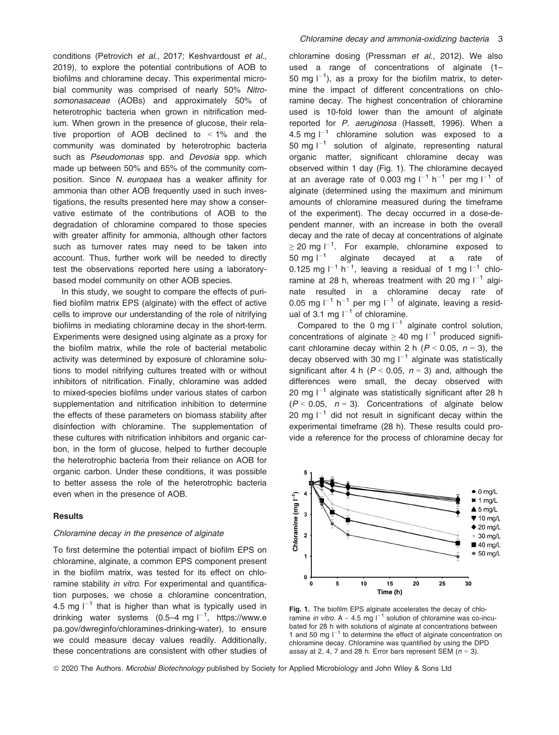conditions (Petrovich et al., 2017; Keshvardoust et al., 2019), to explore the potential contributions of AOB to biofilms and chloramine decay. This experimental microbial community was comprised of nearly 50% Nitrosomonasaceae (AOBs) and approximately 50% of heterotrophic bacteria when grown in nitrification medium. When grown in the presence of glucose, their relative proportion of AOB declined to  $\leq 1\%$  and the community was dominated by heterotrophic bacteria such as Pseudomonas spp. and Devosia spp. which made up between 50% and 65% of the community composition. Since N. europaea has a weaker affinity for ammonia than other AOB frequently used in such investigations, the results presented here may show a conservative estimate of the contributions of AOB to the degradation of chloramine compared to those species with greater affinity for ammonia, although other factors such as turnover rates may need to be taken into account. Thus, further work will be needed to directly test the observations reported here using a laboratorybased model community on other AOB species.

In this study, we sought to compare the effects of purified biofilm matrix EPS (alginate) with the effect of active cells to improve our understanding of the role of nitrifying biofilms in mediating chloramine decay in the short-term. Experiments were designed using alginate as a proxy for the biofilm matrix, while the role of bacterial metabolic activity was determined by exposure of chloramine solutions to model nitrifying cultures treated with or without inhibitors of nitrification. Finally, chloramine was added to mixed-species biofilms under various states of carbon supplementation and nitrification inhibition to determine the effects of these parameters on biomass stability after disinfection with chloramine. The supplementation of these cultures with nitrification inhibitors and organic carbon, in the form of glucose, helped to further decouple the heterotrophic bacteria from their reliance on AOB for organic carbon. Under these conditions, it was possible to better assess the role of the heterotrophic bacteria even when in the presence of AOB.

#### **Results**

# Chloramine decay in the presence of alginate

To first determine the potential impact of biofilm EPS on chloramine, alginate, a common EPS component present in the biofilm matrix, was tested for its effect on chloramine stability in vitro. For experimental and quantification purposes, we chose a chloramine concentration, 4.5 mg  $I^{-1}$  that is higher than what is typically used in drinking water systems (0.5–4 mg  $I^{-1}$ , [https://www.e](https://www.epa.gov/dwreginfo/chloramines-drinking-water) [pa.gov/dwreginfo/chloramines-drinking-water](https://www.epa.gov/dwreginfo/chloramines-drinking-water)), to ensure we could measure decay values readily. Additionally, these concentrations are consistent with other studies of chloramine dosing (Pressman et al., 2012). We also used a range of concentrations of alginate (1– 50 mg  $I^{-1}$ ), as a proxy for the biofilm matrix, to determine the impact of different concentrations on chloramine decay. The highest concentration of chloramine used is 10-fold lower than the amount of alginate reported for P. aeruginosa (Hassett, 1996). When a 4.5 mg  $I^{-1}$  chloramine solution was exposed to a 50 mg  $I^{-1}$  solution of alginate, representing natural organic matter, significant chloramine decay was observed within 1 day (Fig. 1). The chloramine decayed at an average rate of 0.003 mg  $I^{-1}$  h<sup>-1</sup> per mg  $I^{-1}$  of alginate (determined using the maximum and minimum amounts of chloramine measured during the timeframe of the experiment). The decay occurred in a dose-dependent manner, with an increase in both the overall decay and the rate of decay at concentrations of alginate  $\geq$  20 mg l $^{-1}$ . For example, chloramine exposed to 50 mg  $I^{-1}$  alginate decayed at a rate of 0.125 mg  $I^{-1}$  h<sup>-1</sup>, leaving a residual of 1 mg  $I^{-1}$  chloramine at 28 h, whereas treatment with 20 mg  $I^{-1}$  alginate resulted in a chloramine decay rate of 0.05 mg  $I^{-1}$  h<sup>-1</sup> per mg  $I^{-1}$  of alginate, leaving a residual of 3.1 mg  $I^{-1}$  of chloramine.

Compared to the 0 mg  $I^{-1}$  alginate control solution, concentrations of alginate  $\geq 40$  mg  $I^{-1}$  produced significant chloramine decay within 2 h ( $P < 0.05$ ,  $n = 3$ ), the decay observed with 30 mg  $I^{-1}$  alginate was statistically significant after 4 h ( $P < 0.05$ ,  $n = 3$ ) and, although the differences were small, the decay observed with 20 mg  $I^{-1}$  alginate was statistically significant after 28 h  $(P < 0.05, n = 3)$ . Concentrations of alginate below 20 mg  $I^{-1}$  did not result in significant decay within the experimental timeframe (28 h). These results could provide a reference for the process of chloramine decay for



Fig. 1. The biofilm EPS alginate accelerates the decay of chloramine *in vitro*. A  $\sim$  4.5 mg  $I^{-1}$  solution of chloramine was co-incubated for 28 h with solutions of alginate at concentrations between 1 and 50 mg  $I^{-1}$  to determine the effect of alginate concentration on chloramine decay. Chloramine was quantified by using the DPD assay at 2, 4, 7 and 28 h. Error bars represent SEM  $(n = 3)$ .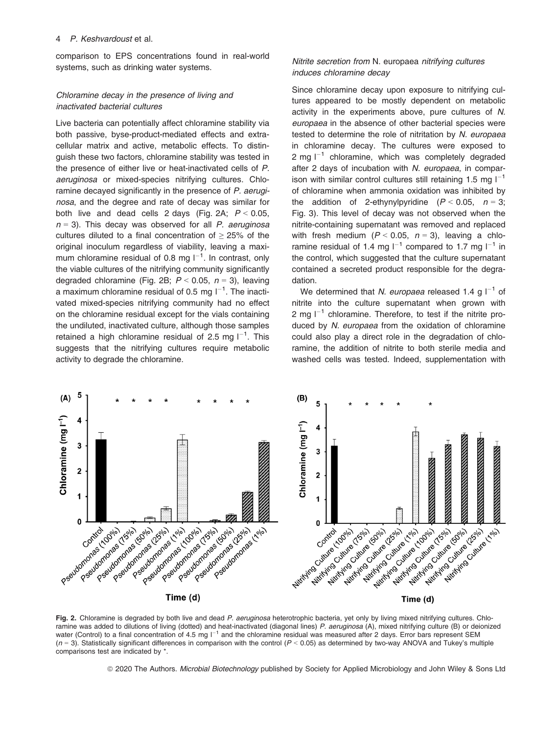comparison to EPS concentrations found in real-world systems, such as drinking water systems.

# Chloramine decay in the presence of living and inactivated bacterial cultures

Live bacteria can potentially affect chloramine stability via both passive, byse-product-mediated effects and extracellular matrix and active, metabolic effects. To distinguish these two factors, chloramine stability was tested in the presence of either live or heat-inactivated cells of P. aeruginosa or mixed-species nitrifying cultures. Chloramine decayed significantly in the presence of P. aeruginosa, and the degree and rate of decay was similar for both live and dead cells 2 days (Fig. 2A;  $P < 0.05$ ,  $n = 3$ ). This decay was observed for all P. aeruginosa cultures diluted to a final concentration of  $\geq$  25% of the original inoculum regardless of viability, leaving a maximum chloramine residual of 0.8 mg  $I^{-1}$ . In contrast, only the viable cultures of the nitrifying community significantly degraded chloramine (Fig. 2B;  $P < 0.05$ ,  $n = 3$ ), leaving a maximum chloramine residual of 0.5 mg  $I^{-1}$ . The inactivated mixed-species nitrifying community had no effect on the chloramine residual except for the vials containing the undiluted, inactivated culture, although those samples retained a high chloramine residual of 2.5 mg  $I^{-1}$ . This suggests that the nitrifying cultures require metabolic activity to degrade the chloramine.

# Nitrite secretion from N. europaea nitrifying cultures induces chloramine decay

Since chloramine decay upon exposure to nitrifying cultures appeared to be mostly dependent on metabolic activity in the experiments above, pure cultures of N. europaea in the absence of other bacterial species were tested to determine the role of nitritation by N. europaea in chloramine decay. The cultures were exposed to 2 mg  $I^{-1}$  chloramine, which was completely degraded after 2 days of incubation with N. europaea, in comparison with similar control cultures still retaining 1.5 mg  $I^{-1}$ of chloramine when ammonia oxidation was inhibited by the addition of 2-ethynylpyridine  $(P < 0.05, n = 3;$ Fig. 3). This level of decay was not observed when the nitrite-containing supernatant was removed and replaced with fresh medium ( $P < 0.05$ ,  $n = 3$ ), leaving a chloramine residual of 1.4 mg  $I^{-1}$  compared to 1.7 mg  $I^{-1}$  in the control, which suggested that the culture supernatant contained a secreted product responsible for the degradation.

We determined that N. europaea released 1.4 g  $I^{-1}$  of nitrite into the culture supernatant when grown with 2 mg  $I^{-1}$  chloramine. Therefore, to test if the nitrite produced by N. europaea from the oxidation of chloramine could also play a direct role in the degradation of chloramine, the addition of nitrite to both sterile media and washed cells was tested. Indeed, supplementation with



Fig. 2. Chloramine is degraded by both live and dead P. aeruginosa heterotrophic bacteria, yet only by living mixed nitrifying cultures. Chloramine was added to dilutions of living (dotted) and heat-inactivated (diagonal lines) P. aeruginosa (A), mixed nitrifying culture (B) or deionized water (Control) to a final concentration of 4.5 mg  $I^{-1}$  and the chloramine residual was measured after 2 days. Error bars represent SEM  $(n = 3)$ . Statistically significant differences in comparison with the control  $(P < 0.05)$  as determined by two-way ANOVA and Tukey's multiple comparisons test are indicated by \*.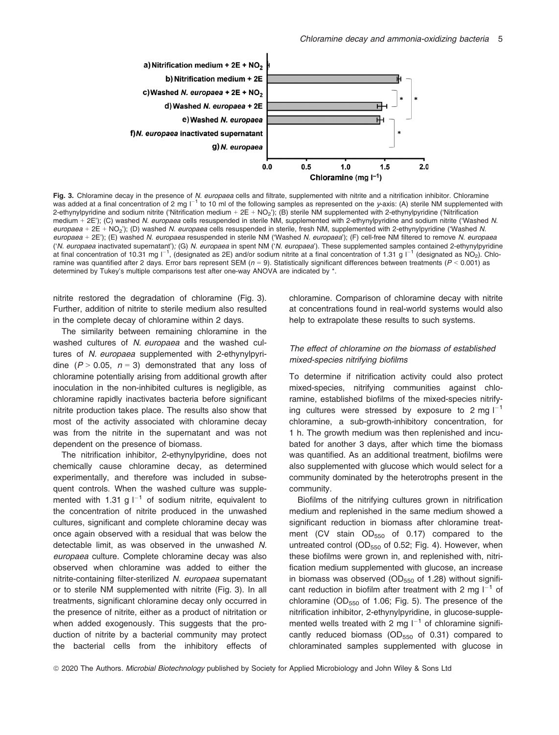

Fig. 3. Chloramine decay in the presence of N. europaea cells and filtrate, supplemented with nitrite and a nitrification inhibitor. Chloramine was added at a final concentration of 2 mg  $1^{-1}$  to 10 ml of the following samples as represented on the y-axis: (A) sterile NM supplemented with 2-ethynylpyridine and sodium nitrite ('Nitrification medium +  $2E + NO<sub>2</sub>$ '); (B) sterile NM supplemented with 2-ethynylpyridine ('Nitrification medium + 2E'); (C) washed N. europaea cells resuspended in sterile NM, supplemented with 2-ethynylpyridine and sodium nitrite ('Washed N. europaea +  $2E + NO<sub>2</sub>'$ ); (D) washed N. europaea cells resuspended in sterile, fresh NM, supplemented with 2-ethynylpyridine ('Washed N. europaea + 2E'); (E) washed N. europaea resuspended in sterile NM ('Washed N. europaea'); (F) cell-free NM filtered to remove N. europaea ('N. europaea inactivated supernatant'); (G) N. europaea in spent NM ('N. europaea'). These supplemented samples contained 2-ethynylpyridine at final concentration of 10.31 mg l<sup>-1</sup>, (designated as 2E) and/or sodium nitrite at a final concentration of 1.31 g l<sup>-1</sup> (designated as NO<sub>2</sub>). Chloramine was quantified after 2 days. Error bars represent SEM ( $n = 9$ ). Statistically significant differences between treatments ( $P < 0.001$ ) as determined by Tukey's multiple comparisons test after one-way ANOVA are indicated by \*.

nitrite restored the degradation of chloramine (Fig. 3). Further, addition of nitrite to sterile medium also resulted in the complete decay of chloramine within 2 days.

The similarity between remaining chloramine in the washed cultures of N. europaea and the washed cultures of N. europaea supplemented with 2-ethynylpyridine ( $P > 0.05$ ,  $n = 3$ ) demonstrated that any loss of chloramine potentially arising from additional growth after inoculation in the non-inhibited cultures is negligible, as chloramine rapidly inactivates bacteria before significant nitrite production takes place. The results also show that most of the activity associated with chloramine decay was from the nitrite in the supernatant and was not dependent on the presence of biomass.

The nitrification inhibitor, 2-ethynylpyridine, does not chemically cause chloramine decay, as determined experimentally, and therefore was included in subsequent controls. When the washed culture was supplemented with 1.31 g  $I^{-1}$  of sodium nitrite, equivalent to the concentration of nitrite produced in the unwashed cultures, significant and complete chloramine decay was once again observed with a residual that was below the detectable limit, as was observed in the unwashed N. europaea culture. Complete chloramine decay was also observed when chloramine was added to either the nitrite-containing filter-sterilized N. europaea supernatant or to sterile NM supplemented with nitrite (Fig. 3). In all treatments, significant chloramine decay only occurred in the presence of nitrite, either as a product of nitritation or when added exogenously. This suggests that the production of nitrite by a bacterial community may protect the bacterial cells from the inhibitory effects of chloramine. Comparison of chloramine decay with nitrite at concentrations found in real-world systems would also help to extrapolate these results to such systems.

# The effect of chloramine on the biomass of established mixed-species nitrifying biofilms

To determine if nitrification activity could also protect mixed-species, nitrifying communities against chloramine, established biofilms of the mixed-species nitrifying cultures were stressed by exposure to 2 mg  $I^{-1}$ chloramine, a sub-growth-inhibitory concentration, for 1 h. The growth medium was then replenished and incubated for another 3 days, after which time the biomass was quantified. As an additional treatment, biofilms were also supplemented with glucose which would select for a community dominated by the heterotrophs present in the community.

Biofilms of the nitrifying cultures grown in nitrification medium and replenished in the same medium showed a significant reduction in biomass after chloramine treatment (CV stain  $OD_{550}$  of 0.17) compared to the untreated control ( $OD_{550}$  of 0.52; Fig. 4). However, when these biofilms were grown in, and replenished with, nitrification medium supplemented with glucose, an increase in biomass was observed ( $OD_{550}$  of 1.28) without significant reduction in biofilm after treatment with 2 mg  $I^{-1}$  of chloramine ( $OD_{550}$  of 1.06; Fig. 5). The presence of the nitrification inhibitor, 2-ethynylpyridine, in glucose-supplemented wells treated with 2 mg  $I^{-1}$  of chloramine significantly reduced biomass ( $OD_{550}$  of 0.31) compared to chloraminated samples supplemented with glucose in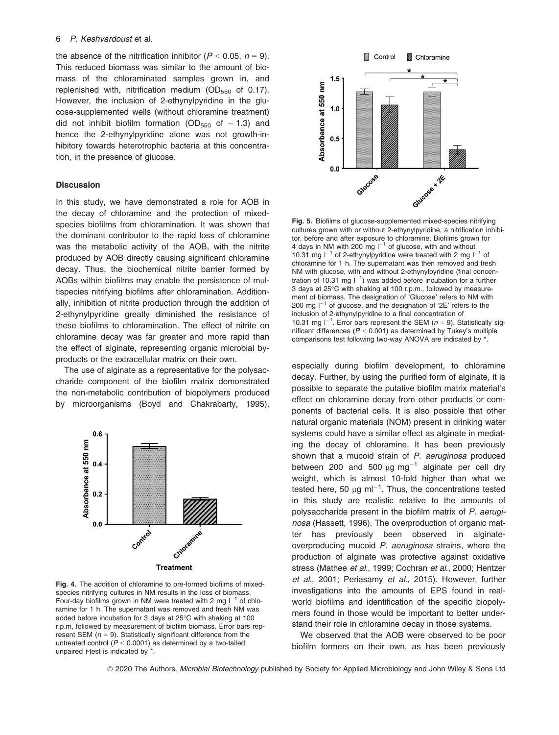#### 6 P. Keshvardoust et al.

the absence of the nitrification inhibitor ( $P < 0.05$ ,  $n = 9$ ). This reduced biomass was similar to the amount of biomass of the chloraminated samples grown in, and replenished with, nitrification medium ( $OD_{550}$  of 0.17). However, the inclusion of 2-ethynylpyridine in the glucose-supplemented wells (without chloramine treatment) did not inhibit biofilm formation (OD<sub>550</sub> of  $\sim$  1.3) and hence the 2-ethynylpyridine alone was not growth-inhibitory towards heterotrophic bacteria at this concentration, in the presence of glucose.

# **Discussion**

In this study, we have demonstrated a role for AOB in the decay of chloramine and the protection of mixedspecies biofilms from chloramination. It was shown that the dominant contributor to the rapid loss of chloramine was the metabolic activity of the AOB, with the nitrite produced by AOB directly causing significant chloramine decay. Thus, the biochemical nitrite barrier formed by AOBs within biofilms may enable the persistence of multispecies nitrifying biofilms after chloramination. Additionally, inhibition of nitrite production through the addition of 2-ethynylpyridine greatly diminished the resistance of these biofilms to chloramination. The effect of nitrite on chloramine decay was far greater and more rapid than the effect of alginate, representing organic microbial byproducts or the extracellular matrix on their own.

The use of alginate as a representative for the polysaccharide component of the biofilm matrix demonstrated the non-metabolic contribution of biopolymers produced by microorganisms (Boyd and Chakrabarty, 1995),



Fig. 4. The addition of chloramine to pre-formed biofilms of mixedspecies nitrifying cultures in NM results in the loss of biomass. Four-day biofilms grown in NM were treated with 2 mg  $I^{-1}$  of chloramine for 1 h. The supernatant was removed and fresh NM was added before incubation for 3 days at 25°C with shaking at 100 r.p.m, followed by measurement of biofilm biomass. Error bars represent SEM ( $n = 9$ ). Statistically significant difference from the untreated control  $(P < 0.0001)$  as determined by a two-tailed unpaired *t*-test is indicated by  $*$ .



Fig. 5. Biofilms of glucose-supplemented mixed-species nitrifying cultures grown with or without 2-ethynylpyridine, a nitrification inhibitor, before and after exposure to chloramine. Biofilms grown for 4 days in NM with 200 mg  $I^{-1}$  of glucose, with and without 10.31 mg  $I^{-1}$  of 2-ethynylpyridine were treated with 2 mg  $I^{-1}$  of chloramine for 1 h. The supernatant was then removed and fresh NM with glucose, with and without 2-ethynylpyridine (final concentration of 10.31 mg  $I^{-1}$ ) was added before incubation for a further 3 days at 25°C with shaking at 100 r.p.m., followed by measurement of biomass. The designation of 'Glucose' refers to NM with 200 mg  $I^{-1}$  of glucose, and the designation of '2E' refers to the inclusion of 2-ethynylpyridine to a final concentration of 10.31 mg  $I^{-1}$ . Error bars represent the SEM ( $n = 9$ ). Statistically significant differences ( $P < 0.001$ ) as determined by Tukey's multiple comparisons test following two-way ANOVA are indicated by \*.

especially during biofilm development, to chloramine decay. Further, by using the purified form of alginate, it is possible to separate the putative biofilm matrix material's effect on chloramine decay from other products or components of bacterial cells. It is also possible that other natural organic materials (NOM) present in drinking water systems could have a similar effect as alginate in mediating the decay of chloramine. It has been previously shown that a mucoid strain of P. aeruginosa produced between 200 and 500  $\mu$ g mg<sup>-1</sup> alginate per cell dry weight, which is almost 10-fold higher than what we tested here, 50  $\mu$ g ml<sup>-1</sup>. Thus, the concentrations tested in this study are realistic relative to the amounts of polysaccharide present in the biofilm matrix of P. aeruginosa (Hassett, 1996). The overproduction of organic matter has previously been observed in alginateoverproducing mucoid P. aeruginosa strains, where the production of alginate was protective against oxidative stress (Mathee et al., 1999; Cochran et al., 2000; Hentzer et al., 2001; Periasamy et al., 2015). However, further investigations into the amounts of EPS found in realworld biofilms and identification of the specific biopolymers found in those would be important to better understand their role in chloramine decay in those systems.

We observed that the AOB were observed to be poor biofilm formers on their own, as has been previously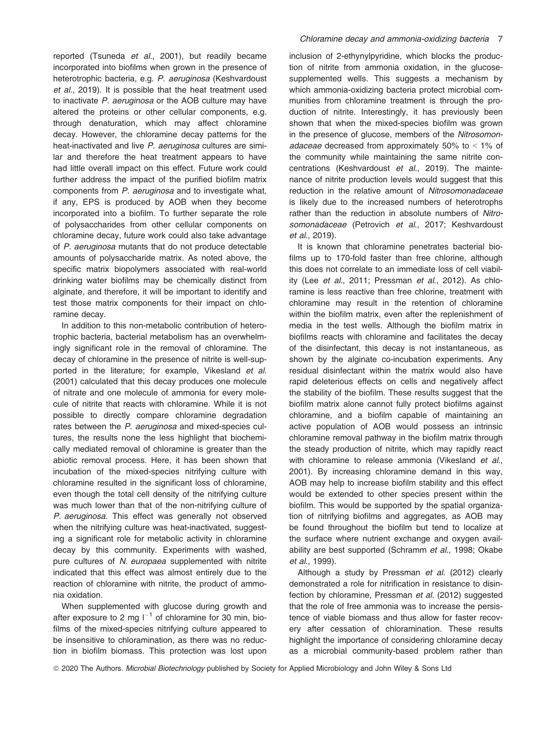reported (Tsuneda et al., 2001), but readily became incorporated into biofilms when grown in the presence of heterotrophic bacteria, e.g. P. aeruginosa (Keshvardoust et al., 2019). It is possible that the heat treatment used to inactivate P. aeruginosa or the AOB culture may have altered the proteins or other cellular components, e.g. through denaturation, which may affect chloramine decay. However, the chloramine decay patterns for the heat-inactivated and live P. aeruginosa cultures are similar and therefore the heat treatment appears to have had little overall impact on this effect. Future work could further address the impact of the purified biofilm matrix components from P. aeruginosa and to investigate what, if any, EPS is produced by AOB when they become incorporated into a biofilm. To further separate the role of polysaccharides from other cellular components on chloramine decay, future work could also take advantage of P. aeruginosa mutants that do not produce detectable amounts of polysaccharide matrix. As noted above, the specific matrix biopolymers associated with real-world drinking water biofilms may be chemically distinct from alginate, and therefore, it will be important to identify and test those matrix components for their impact on chloramine decay.

In addition to this non-metabolic contribution of heterotrophic bacteria, bacterial metabolism has an overwhelmingly significant role in the removal of chloramine. The decay of chloramine in the presence of nitrite is well-supported in the literature; for example, Vikesland et al. (2001) calculated that this decay produces one molecule of nitrate and one molecule of ammonia for every molecule of nitrite that reacts with chloramine. While it is not possible to directly compare chloramine degradation rates between the P. aeruginosa and mixed-species cultures, the results none the less highlight that biochemically mediated removal of chloramine is greater than the abiotic removal process. Here, it has been shown that incubation of the mixed-species nitrifying culture with chloramine resulted in the significant loss of chloramine, even though the total cell density of the nitrifying culture was much lower than that of the non-nitrifying culture of P. aeruginosa. This effect was generally not observed when the nitrifying culture was heat-inactivated, suggesting a significant role for metabolic activity in chloramine decay by this community. Experiments with washed, pure cultures of N. europaea supplemented with nitrite indicated that this effect was almost entirely due to the reaction of chloramine with nitrite, the product of ammonia oxidation.

When supplemented with glucose during growth and after exposure to 2 mg  $I^{-1}$  of chloramine for 30 min, biofilms of the mixed-species nitrifying culture appeared to be insensitive to chloramination, as there was no reduction in biofilm biomass. This protection was lost upon inclusion of 2-ethynylpyridine, which blocks the production of nitrite from ammonia oxidation, in the glucosesupplemented wells. This suggests a mechanism by which ammonia-oxidizing bacteria protect microbial communities from chloramine treatment is through the production of nitrite. Interestingly, it has previously been shown that when the mixed-species biofilm was grown in the presence of glucose, members of the Nitrosomonadaceae decreased from approximately 50% to < 1% of the community while maintaining the same nitrite concentrations (Keshvardoust et al., 2019). The maintenance of nitrite production levels would suggest that this reduction in the relative amount of Nitrosomonadaceae is likely due to the increased numbers of heterotrophs rather than the reduction in absolute numbers of Nitrosomonadaceae (Petrovich et al., 2017; Keshvardoust et al., 2019).

It is known that chloramine penetrates bacterial biofilms up to 170-fold faster than free chlorine, although this does not correlate to an immediate loss of cell viability (Lee et al., 2011; Pressman et al., 2012). As chloramine is less reactive than free chlorine, treatment with chloramine may result in the retention of chloramine within the biofilm matrix, even after the replenishment of media in the test wells. Although the biofilm matrix in biofilms reacts with chloramine and facilitates the decay of the disinfectant, this decay is not instantaneous, as shown by the alginate co-incubation experiments. Any residual disinfectant within the matrix would also have rapid deleterious effects on cells and negatively affect the stability of the biofilm. These results suggest that the biofilm matrix alone cannot fully protect biofilms against chloramine, and a biofilm capable of maintaining an active population of AOB would possess an intrinsic chloramine removal pathway in the biofilm matrix through the steady production of nitrite, which may rapidly react with chloramine to release ammonia (Vikesland et al., 2001). By increasing chloramine demand in this way, AOB may help to increase biofilm stability and this effect would be extended to other species present within the biofilm. This would be supported by the spatial organization of nitrifying biofilms and aggregates, as AOB may be found throughout the biofilm but tend to localize at the surface where nutrient exchange and oxygen availability are best supported (Schramm et al., 1998; Okabe et al., 1999).

Although a study by Pressman et al. (2012) clearly demonstrated a role for nitrification in resistance to disinfection by chloramine, Pressman et al. (2012) suggested that the role of free ammonia was to increase the persistence of viable biomass and thus allow for faster recovery after cessation of chloramination. These results highlight the importance of considering chloramine decay as a microbial community-based problem rather than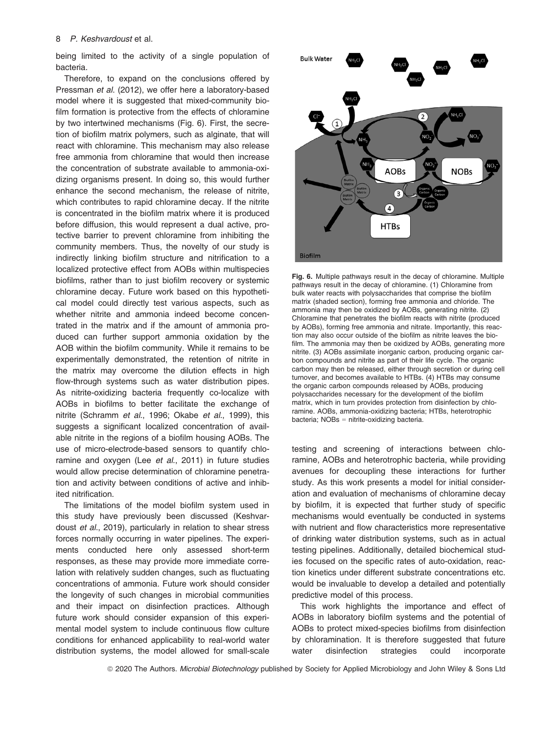being limited to the activity of a single population of bacteria.

Therefore, to expand on the conclusions offered by Pressman et al. (2012), we offer here a laboratory-based model where it is suggested that mixed-community biofilm formation is protective from the effects of chloramine by two intertwined mechanisms (Fig. 6). First, the secretion of biofilm matrix polymers, such as alginate, that will react with chloramine. This mechanism may also release free ammonia from chloramine that would then increase the concentration of substrate available to ammonia-oxidizing organisms present. In doing so, this would further enhance the second mechanism, the release of nitrite, which contributes to rapid chloramine decay. If the nitrite is concentrated in the biofilm matrix where it is produced before diffusion, this would represent a dual active, protective barrier to prevent chloramine from inhibiting the community members. Thus, the novelty of our study is indirectly linking biofilm structure and nitrification to a localized protective effect from AOBs within multispecies biofilms, rather than to just biofilm recovery or systemic chloramine decay. Future work based on this hypothetical model could directly test various aspects, such as whether nitrite and ammonia indeed become concentrated in the matrix and if the amount of ammonia produced can further support ammonia oxidation by the AOB within the biofilm community. While it remains to be experimentally demonstrated, the retention of nitrite in the matrix may overcome the dilution effects in high flow-through systems such as water distribution pipes. As nitrite-oxidizing bacteria frequently co-localize with AOBs in biofilms to better facilitate the exchange of nitrite (Schramm et al., 1996; Okabe et al., 1999), this suggests a significant localized concentration of available nitrite in the regions of a biofilm housing AOBs. The use of micro-electrode-based sensors to quantify chloramine and oxygen (Lee et al., 2011) in future studies would allow precise determination of chloramine penetration and activity between conditions of active and inhibited nitrification.

The limitations of the model biofilm system used in this study have previously been discussed (Keshvardoust et al., 2019), particularly in relation to shear stress forces normally occurring in water pipelines. The experiments conducted here only assessed short-term responses, as these may provide more immediate correlation with relatively sudden changes, such as fluctuating concentrations of ammonia. Future work should consider the longevity of such changes in microbial communities and their impact on disinfection practices. Although future work should consider expansion of this experimental model system to include continuous flow culture conditions for enhanced applicability to real-world water distribution systems, the model allowed for small-scale



Fig. 6. Multiple pathways result in the decay of chloramine. Multiple pathways result in the decay of chloramine. (1) Chloramine from bulk water reacts with polysaccharides that comprise the biofilm matrix (shaded section), forming free ammonia and chloride. The ammonia may then be oxidized by AOBs, generating nitrite. (2) Chloramine that penetrates the biofilm reacts with nitrite (produced by AOBs), forming free ammonia and nitrate. Importantly, this reaction may also occur outside of the biofilm as nitrite leaves the biofilm. The ammonia may then be oxidized by AOBs, generating more nitrite. (3) AOBs assimilate inorganic carbon, producing organic carbon compounds and nitrite as part of their life cycle. The organic carbon may then be released, either through secretion or during cell turnover, and becomes available to HTBs. (4) HTBs may consume the organic carbon compounds released by AOBs, producing polysaccharides necessary for the development of the biofilm matrix, which in turn provides protection from disinfection by chloramine. AOBs, ammonia-oxidizing bacteria; HTBs, heterotrophic bacteria; NOBs = nitrite-oxidizing bacteria.

testing and screening of interactions between chloramine, AOBs and heterotrophic bacteria, while providing avenues for decoupling these interactions for further study. As this work presents a model for initial consideration and evaluation of mechanisms of chloramine decay by biofilm, it is expected that further study of specific mechanisms would eventually be conducted in systems with nutrient and flow characteristics more representative of drinking water distribution systems, such as in actual testing pipelines. Additionally, detailed biochemical studies focused on the specific rates of auto-oxidation, reaction kinetics under different substrate concentrations etc. would be invaluable to develop a detailed and potentially predictive model of this process.

This work highlights the importance and effect of AOBs in laboratory biofilm systems and the potential of AOBs to protect mixed-species biofilms from disinfection by chloramination. It is therefore suggested that future water disinfection strategies could incorporate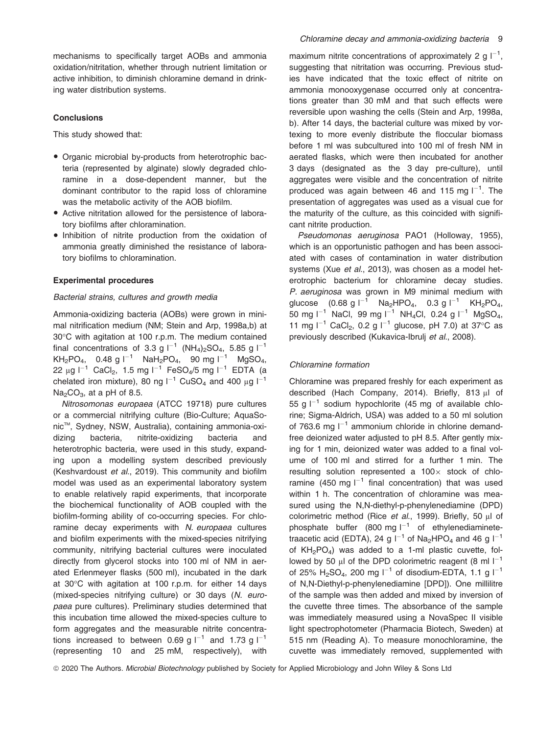mechanisms to specifically target AOBs and ammonia oxidation/nitritation, whether through nutrient limitation or active inhibition, to diminish chloramine demand in drinking water distribution systems.

# **Conclusions**

This study showed that:

- Organic microbial by-products from heterotrophic bacteria (represented by alginate) slowly degraded chloramine in a dose-dependent manner, but the dominant contributor to the rapid loss of chloramine was the metabolic activity of the AOB biofilm.
- Active nitritation allowed for the persistence of laboratory biofilms after chloramination.
- Inhibition of nitrite production from the oxidation of ammonia greatly diminished the resistance of laboratory biofilms to chloramination.

#### Experimental procedures

# Bacterial strains, cultures and growth media

Ammonia-oxidizing bacteria (AOBs) were grown in minimal nitrification medium (NM; Stein and Arp, 1998a,b) at 30°C with agitation at 100 r.p.m. The medium contained final concentrations of 3.3 g  $I^{-1}$  (NH<sub>4</sub>)<sub>2</sub>SO<sub>4</sub>, 5.85 g  $I^{-1}$  $KH_2PO_4$ , 0.48 g  $I^{-1}$  NaH<sub>2</sub>PO<sub>4</sub>, 90 mg  $I^{-1}$  MgSO<sub>4</sub>, 22 µg  $I^{-1}$  CaCl<sub>2</sub>, 1.5 mg  $I^{-1}$  FeSO<sub>4</sub>/5 mg  $I^{-1}$  EDTA (a chelated iron mixture), 80 ng  $I^{-1}$  CuSO<sub>4</sub> and 400 µg  $I^{-1}$  $Na<sub>2</sub>CO<sub>3</sub>$ , at a pH of 8.5.

Nitrosomonas europaea (ATCC 19718) pure cultures or a commercial nitrifying culture (Bio-Culture; AquaSonicTM, Sydney, NSW, Australia), containing ammonia-oxidizing bacteria, nitrite-oxidizing bacteria and heterotrophic bacteria, were used in this study, expanding upon a modelling system described previously (Keshvardoust et al., 2019). This community and biofilm model was used as an experimental laboratory system to enable relatively rapid experiments, that incorporate the biochemical functionality of AOB coupled with the biofilm-forming ability of co-occurring species. For chloramine decay experiments with N. europaea cultures and biofilm experiments with the mixed-species nitrifying community, nitrifying bacterial cultures were inoculated directly from glycerol stocks into 100 ml of NM in aerated Erlenmeyer flasks (500 ml), incubated in the dark at 30°C with agitation at 100 r.p.m. for either 14 days (mixed-species nitrifying culture) or 30 days (N. europaea pure cultures). Preliminary studies determined that this incubation time allowed the mixed-species culture to form aggregates and the measurable nitrite concentrations increased to between 0.69 g  $I^{-1}$  and 1.73 g  $I^{-1}$ (representing 10 and 25 mM, respectively), with

maximum nitrite concentrations of approximately 2 g  $I^{-1}$ , suggesting that nitritation was occurring. Previous studies have indicated that the toxic effect of nitrite on ammonia monooxygenase occurred only at concentrations greater than 30 mM and that such effects were reversible upon washing the cells (Stein and Arp, 1998a, b). After 14 days, the bacterial culture was mixed by vortexing to more evenly distribute the floccular biomass before 1 ml was subcultured into 100 ml of fresh NM in aerated flasks, which were then incubated for another 3 days (designated as the 3 day pre-culture), until aggregates were visible and the concentration of nitrite produced was again between 46 and 115 mg  $I^{-1}$ . The presentation of aggregates was used as a visual cue for the maturity of the culture, as this coincided with significant nitrite production.

Pseudomonas aeruginosa PAO1 (Holloway, 1955), which is an opportunistic pathogen and has been associated with cases of contamination in water distribution systems (Xue et al., 2013), was chosen as a model heterotrophic bacterium for chloramine decay studies. P. aeruginosa was grown in M9 minimal medium with glucose  $(0.68 \text{ g l}^{-1} \text{ Na}_2\text{HPO}_4, 0.3 \text{ g l}^{-1} \text{ KH}_2\text{PO}_4,$ 50 mg l<sup>-1</sup> NaCl, 99 mg l<sup>-1</sup> NH<sub>4</sub>Cl, 0.24 g l<sup>-1</sup> MgSO<sub>4</sub>, 11 mg  $I^{-1}$  CaCl<sub>2</sub>, 0.2 g  $I^{-1}$  glucose, pH 7.0) at 37°C as previously described (Kukavica-Ibrulj et al., 2008).

#### Chloramine formation

Chloramine was prepared freshly for each experiment as described (Hach Company, 2014). Briefly, 813 µl of 55 g  $I^{-1}$  sodium hypochlorite (45 mg of available chlorine; Sigma-Aldrich, USA) was added to a 50 ml solution of 763.6 mg  $I^{-1}$  ammonium chloride in chlorine demandfree deionized water adjusted to pH 8.5. After gently mixing for 1 min, deionized water was added to a final volume of 100 ml and stirred for a further 1 min. The resulting solution represented a  $100\times$  stock of chloramine (450 mg  $I^{-1}$  final concentration) that was used within 1 h. The concentration of chloramine was measured using the N,N-diethyl-p-phenylenediamine (DPD) colorimetric method (Rice et al., 1999). Briefly, 50 µl of phosphate buffer (800 mg  $I^{-1}$  of ethylenediaminetetraacetic acid (EDTA), 24 g  $I^{-1}$  of Na<sub>2</sub>HPO<sub>4</sub> and 46 g  $I^{-1}$ of  $KH_2PO_4$ ) was added to a 1-ml plastic cuvette, followed by 50  $\mu$ l of the DPD colorimetric reagent (8 ml  $I^{-1}$ of 25% H<sub>2</sub>SO<sub>4</sub>, 200 mg  $I^{-1}$  of disodium-EDTA, 1.1 g  $I^{-1}$ of N,N-Diethyl-p-phenylenediamine [DPD]). One millilitre of the sample was then added and mixed by inversion of the cuvette three times. The absorbance of the sample was immediately measured using a NovaSpec II visible light spectrophotometer (Pharmacia Biotech, Sweden) at 515 nm (Reading A). To measure monochloramine, the cuvette was immediately removed, supplemented with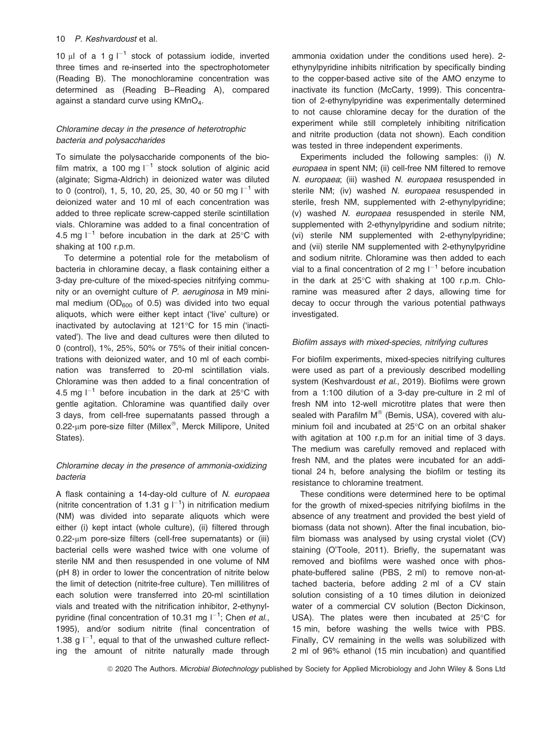10  $\mu$ l of a 1 g  $I^{-1}$  stock of potassium iodide, inverted three times and re-inserted into the spectrophotometer (Reading B). The monochloramine concentration was determined as (Reading B–Reading A), compared against a standard curve using KMnO<sub>4</sub>.

# Chloramine decay in the presence of heterotrophic bacteria and polysaccharides

To simulate the polysaccharide components of the biofilm matrix, a 100 mg  $I^{-1}$  stock solution of alginic acid (alginate; Sigma-Aldrich) in deionized water was diluted to 0 (control), 1, 5, 10, 20, 25, 30, 40 or 50 mg  $1^{-1}$  with deionized water and 10 ml of each concentration was added to three replicate screw-capped sterile scintillation vials. Chloramine was added to a final concentration of 4.5 mg  $I^{-1}$  before incubation in the dark at 25°C with shaking at 100 r.p.m.

To determine a potential role for the metabolism of bacteria in chloramine decay, a flask containing either a 3-day pre-culture of the mixed-species nitrifying community or an overnight culture of P. aeruginosa in M9 minimal medium ( $OD_{600}$  of 0.5) was divided into two equal aliquots, which were either kept intact ('live' culture) or inactivated by autoclaving at 121°C for 15 min ('inactivated'). The live and dead cultures were then diluted to 0 (control), 1%, 25%, 50% or 75% of their initial concentrations with deionized water, and 10 ml of each combination was transferred to 20-ml scintillation vials. Chloramine was then added to a final concentration of 4.5 mg  $I^{-1}$  before incubation in the dark at 25°C with gentle agitation. Chloramine was quantified daily over 3 days, from cell-free supernatants passed through a 0.22-µm pore-size filter (Millex®, Merck Millipore, United States).

# Chloramine decay in the presence of ammonia-oxidizing bacteria

A flask containing a 14-day-old culture of N. europaea (nitrite concentration of 1.31 g  $I^{-1}$ ) in nitrification medium (NM) was divided into separate aliquots which were either (i) kept intact (whole culture), (ii) filtered through 0.22-µm pore-size filters (cell-free supernatants) or (iii) bacterial cells were washed twice with one volume of sterile NM and then resuspended in one volume of NM (pH 8) in order to lower the concentration of nitrite below the limit of detection (nitrite-free culture). Ten millilitres of each solution were transferred into 20-ml scintillation vials and treated with the nitrification inhibitor, 2-ethynylpyridine (final concentration of 10.31 mg  $I^{-1}$ ; Chen et al., 1995), and/or sodium nitrite (final concentration of 1.38 g  $I^{-1}$ , equal to that of the unwashed culture reflecting the amount of nitrite naturally made through ammonia oxidation under the conditions used here). 2 ethynylpyridine inhibits nitrification by specifically binding to the copper-based active site of the AMO enzyme to inactivate its function (McCarty, 1999). This concentration of 2-ethynylpyridine was experimentally determined to not cause chloramine decay for the duration of the experiment while still completely inhibiting nitrification and nitrite production (data not shown). Each condition was tested in three independent experiments.

Experiments included the following samples: (i) N. europaea in spent NM; (ii) cell-free NM filtered to remove N. europaea; (iii) washed N. europaea resuspended in sterile NM; (iv) washed N. europaea resuspended in sterile, fresh NM, supplemented with 2-ethynylpyridine; (v) washed N. europaea resuspended in sterile NM, supplemented with 2-ethynylpyridine and sodium nitrite; (vi) sterile NM supplemented with 2-ethynylpyridine; and (vii) sterile NM supplemented with 2-ethynylpyridine and sodium nitrite. Chloramine was then added to each vial to a final concentration of 2 mg  $I^{-1}$  before incubation in the dark at 25°C with shaking at 100 r.p.m. Chloramine was measured after 2 days, allowing time for decay to occur through the various potential pathways investigated.

# Biofilm assays with mixed-species, nitrifying cultures

For biofilm experiments, mixed-species nitrifying cultures were used as part of a previously described modelling system (Keshvardoust et al., 2019). Biofilms were grown from a 1:100 dilution of a 3-day pre-culture in 2 ml of fresh NM into 12-well microtitre plates that were then sealed with Parafilm M® (Bemis, USA), covered with aluminium foil and incubated at 25°C on an orbital shaker with agitation at 100 r.p.m for an initial time of 3 days. The medium was carefully removed and replaced with fresh NM, and the plates were incubated for an additional 24 h, before analysing the biofilm or testing its resistance to chloramine treatment.

These conditions were determined here to be optimal for the growth of mixed-species nitrifying biofilms in the absence of any treatment and provided the best yield of biomass (data not shown). After the final incubation, biofilm biomass was analysed by using crystal violet (CV) staining (O'Toole, 2011). Briefly, the supernatant was removed and biofilms were washed once with phosphate-buffered saline (PBS, 2 ml) to remove non-attached bacteria, before adding 2 ml of a CV stain solution consisting of a 10 times dilution in deionized water of a commercial CV solution (Becton Dickinson, USA). The plates were then incubated at 25°C for 15 min, before washing the wells twice with PBS. Finally, CV remaining in the wells was solubilized with 2 ml of 96% ethanol (15 min incubation) and quantified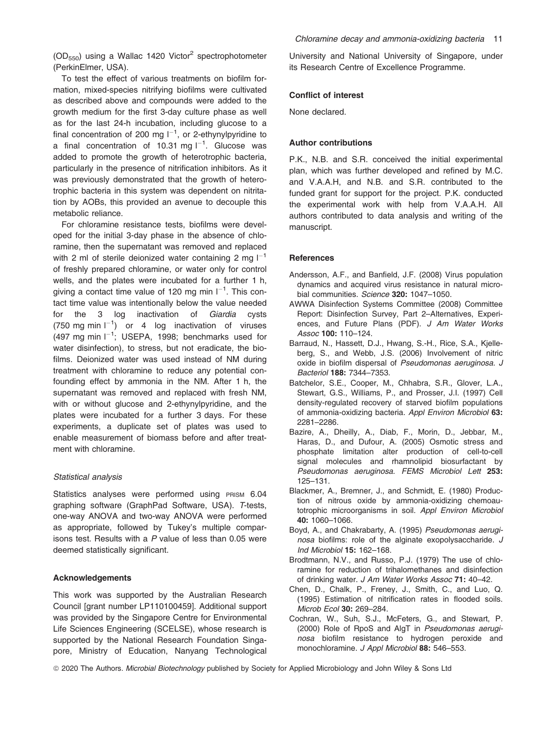$(OD_{550})$  using a Wallac 1420 Victor<sup>2</sup> spectrophotometer (PerkinElmer, USA).

To test the effect of various treatments on biofilm formation, mixed-species nitrifying biofilms were cultivated as described above and compounds were added to the growth medium for the first 3-day culture phase as well as for the last 24-h incubation, including glucose to a final concentration of 200 mg  $I^{-1}$ , or 2-ethynylpyridine to a final concentration of 10.31 mg  $I^{-1}$ . Glucose was added to promote the growth of heterotrophic bacteria, particularly in the presence of nitrification inhibitors. As it was previously demonstrated that the growth of heterotrophic bacteria in this system was dependent on nitritation by AOBs, this provided an avenue to decouple this metabolic reliance.

For chloramine resistance tests, biofilms were developed for the initial 3-day phase in the absence of chloramine, then the supernatant was removed and replaced with 2 ml of sterile deionized water containing 2 mg  $I^{-1}$ of freshly prepared chloramine, or water only for control wells, and the plates were incubated for a further 1 h, giving a contact time value of 120 mg min  $I^{-1}$ . This contact time value was intentionally below the value needed for the 3 log inactivation of Giardia cysts (750 mg min  $I^{-1}$ ) or 4 log inactivation of viruses (497 mg min  $I^{-1}$ ; USEPA, 1998; benchmarks used for water disinfection), to stress, but not eradicate, the biofilms. Deionized water was used instead of NM during treatment with chloramine to reduce any potential confounding effect by ammonia in the NM. After 1 h, the supernatant was removed and replaced with fresh NM, with or without glucose and 2-ethynylpyridine, and the plates were incubated for a further 3 days. For these experiments, a duplicate set of plates was used to enable measurement of biomass before and after treatment with chloramine.

### Statistical analysis

Statistics analyses were performed using PRISM 6.04 graphing software (GraphPad Software, USA). T-tests, one-way ANOVA and two-way ANOVA were performed as appropriate, followed by Tukey's multiple comparisons test. Results with a P value of less than 0.05 were deemed statistically significant.

#### Acknowledgements

This work was supported by the Australian Research Council [grant number LP110100459]. Additional support was provided by the Singapore Centre for Environmental Life Sciences Engineering (SCELSE), whose research is supported by the National Research Foundation Singapore, Ministry of Education, Nanyang Technological University and National University of Singapore, under its Research Centre of Excellence Programme.

#### Conflict of interest

None declared.

# Author contributions

P.K., N.B. and S.R. conceived the initial experimental plan, which was further developed and refined by M.C. and V.A.A.H, and N.B. and S.R. contributed to the funded grant for support for the project. P.K. conducted the experimental work with help from V.A.A.H. All authors contributed to data analysis and writing of the manuscript.

#### **References**

- Andersson, A.F., and Banfield, J.F. (2008) Virus population dynamics and acquired virus resistance in natural microbial communities. Science 320: 1047-1050.
- AWWA Disinfection Systems Committee (2008) Committee Report: Disinfection Survey, Part 2–Alternatives, Experiences, and Future Plans (PDF). J Am Water Works Assoc 100: 110–124.
- Barraud, N., Hassett, D.J., Hwang, S.-H., Rice, S.A., Kjelleberg, S., and Webb, J.S. (2006) Involvement of nitric oxide in biofilm dispersal of Pseudomonas aeruginosa. J Bacteriol 188: 7344–7353.
- Batchelor, S.E., Cooper, M., Chhabra, S.R., Glover, L.A., Stewart, G.S., Williams, P., and Prosser, J.I. (1997) Cell density-regulated recovery of starved biofilm populations of ammonia-oxidizing bacteria. Appl Environ Microbiol 63: 2281–2286.
- Bazire, A., Dheilly, A., Diab, F., Morin, D., Jebbar, M., Haras, D., and Dufour, A. (2005) Osmotic stress and phosphate limitation alter production of cell-to-cell signal molecules and rhamnolipid biosurfactant by Pseudomonas aeruginosa. FEMS Microbiol Lett 253: 125–131.
- Blackmer, A., Bremner, J., and Schmidt, E. (1980) Production of nitrous oxide by ammonia-oxidizing chemoautotrophic microorganisms in soil. Appl Environ Microbiol 40: 1060–1066.
- Boyd, A., and Chakrabarty, A. (1995) Pseudomonas aeruginosa biofilms: role of the alginate exopolysaccharide. J Ind Microbiol 15: 162–168.
- Brodtmann, N.V., and Russo, P.J. (1979) The use of chloramine for reduction of trihalomethanes and disinfection of drinking water. J Am Water Works Assoc 71: 40–42.
- Chen, D., Chalk, P., Freney, J., Smith, C., and Luo, Q. (1995) Estimation of nitrification rates in flooded soils. Microb Ecol 30: 269–284.
- Cochran, W., Suh, S.J., McFeters, G., and Stewart, P. (2000) Role of RpoS and AlgT in Pseudomonas aeruginosa biofilm resistance to hydrogen peroxide and monochloramine. J Appl Microbiol 88: 546–553.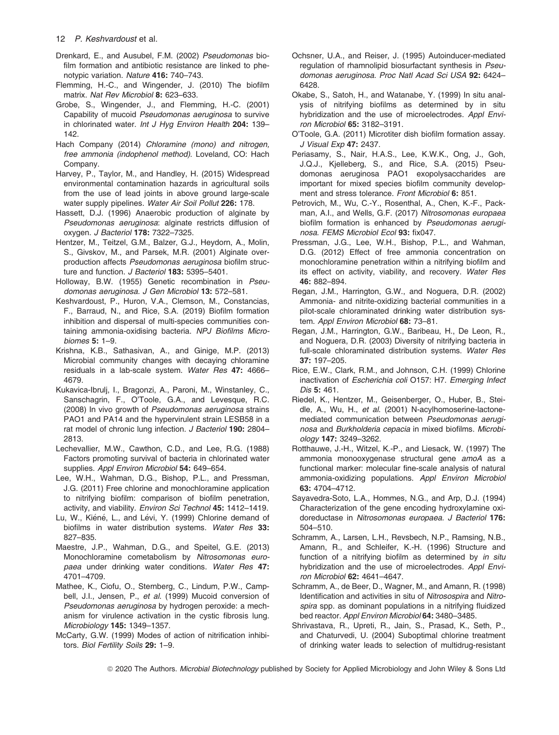- Drenkard, E., and Ausubel, F.M. (2002) Pseudomonas biofilm formation and antibiotic resistance are linked to phenotypic variation. Nature 416: 740–743.
- Flemming, H.-C., and Wingender, J. (2010) The biofilm matrix. Nat Rev Microbiol 8: 623–633.
- Grobe, S., Wingender, J., and Flemming, H.-C. (2001) Capability of mucoid Pseudomonas aeruginosa to survive in chlorinated water. Int J Hyg Environ Health 204: 139-142.
- Hach Company (2014) Chloramine (mono) and nitrogen, free ammonia (indophenol method). Loveland, CO: Hach Company.
- Harvey, P., Taylor, M., and Handley, H. (2015) Widespread environmental contamination hazards in agricultural soils from the use of lead joints in above ground large-scale water supply pipelines. Water Air Soil Pollut 226: 178.
- Hassett, D.J. (1996) Anaerobic production of alginate by Pseudomonas aeruginosa: alginate restricts diffusion of oxygen. J Bacteriol 178: 7322–7325.
- Hentzer, M., Teitzel, G.M., Balzer, G.J., Heydorn, A., Molin, S., Givskov, M., and Parsek, M.R. (2001) Alginate overproduction affects Pseudomonas aeruginosa biofilm structure and function. J Bacteriol 183: 5395-5401.
- Holloway, B.W. (1955) Genetic recombination in Pseudomonas aeruginosa. J Gen Microbiol 13: 572–581.
- Keshvardoust, P., Huron, V.A., Clemson, M., Constancias, F., Barraud, N., and Rice, S.A. (2019) Biofilm formation inhibition and dispersal of multi-species communities containing ammonia-oxidising bacteria. NPJ Biofilms Microbiomes 5: 1–9.
- Krishna, K.B., Sathasivan, A., and Ginige, M.P. (2013) Microbial community changes with decaying chloramine residuals in a lab-scale system. Water Res 47: 4666– 4679.
- Kukavica-Ibrulj, I., Bragonzi, A., Paroni, M., Winstanley, C., Sanschagrin, F., O'Toole, G.A., and Levesque, R.C. (2008) In vivo growth of Pseudomonas aeruginosa strains PAO1 and PA14 and the hypervirulent strain LESB58 in a rat model of chronic lung infection. J Bacteriol 190: 2804-2813.
- Lechevallier, M.W., Cawthon, C.D., and Lee, R.G. (1988) Factors promoting survival of bacteria in chlorinated water supplies. Appl Environ Microbiol 54: 649-654.
- Lee, W.H., Wahman, D.G., Bishop, P.L., and Pressman, J.G. (2011) Free chlorine and monochloramine application to nitrifying biofilm: comparison of biofilm penetration, activity, and viability. Environ Sci Technol 45: 1412–1419.
- Lu, W., Kiéné, L., and Lévi, Y. (1999) Chlorine demand of biofilms in water distribution systems. Water Res 33: 827–835.
- Maestre, J.P., Wahman, D.G., and Speitel, G.E. (2013) Monochloramine cometabolism by Nitrosomonas europaea under drinking water conditions. Water Res 47: 4701–4709.
- Mathee, K., Ciofu, O., Sternberg, C., Lindum, P.W., Campbell, J.I., Jensen, P., et al. (1999) Mucoid conversion of Pseudomonas aeruginosa by hydrogen peroxide: a mechanism for virulence activation in the cystic fibrosis lung. Microbiology 145: 1349–1357.
- McCarty, G.W. (1999) Modes of action of nitrification inhibitors. Biol Fertility Soils 29: 1-9.
- Ochsner, U.A., and Reiser, J. (1995) Autoinducer-mediated regulation of rhamnolipid biosurfactant synthesis in Pseudomonas aeruginosa. Proc Natl Acad Sci USA 92: 6424– 6428.
- Okabe, S., Satoh, H., and Watanabe, Y. (1999) In situ analysis of nitrifying biofilms as determined by in situ hybridization and the use of microelectrodes. Appl Environ Microbiol 65: 3182–3191.
- O'Toole, G.A. (2011) Microtiter dish biofilm formation assay. J Visual Exp 47: 2437.
- Periasamy, S., Nair, H.A.S., Lee, K.W.K., Ong, J., Goh, J.Q.J., Kjelleberg, S., and Rice, S.A. (2015) Pseudomonas aeruginosa PAO1 exopolysaccharides are important for mixed species biofilm community development and stress tolerance. Front Microbiol 6: 851.
- Petrovich, M., Wu, C.-Y., Rosenthal, A., Chen, K.-F., Packman, A.I., and Wells, G.F. (2017) Nitrosomonas europaea biofilm formation is enhanced by Pseudomonas aeruginosa. FEMS Microbiol Ecol 93: fix047.
- Pressman, J.G., Lee, W.H., Bishop, P.L., and Wahman, D.G. (2012) Effect of free ammonia concentration on monochloramine penetration within a nitrifying biofilm and its effect on activity, viability, and recovery. Water Res 46: 882–894.
- Regan, J.M., Harrington, G.W., and Noguera, D.R. (2002) Ammonia- and nitrite-oxidizing bacterial communities in a pilot-scale chloraminated drinking water distribution system. Appl Environ Microbiol 68: 73-81.
- Regan, J.M., Harrington, G.W., Baribeau, H., De Leon, R., and Noguera, D.R. (2003) Diversity of nitrifying bacteria in full-scale chloraminated distribution systems. Water Res 37: 197–205.
- Rice, E.W., Clark, R.M., and Johnson, C.H. (1999) Chlorine inactivation of Escherichia coli O157: H7. Emerging Infect Dis 5: 461.
- Riedel, K., Hentzer, M., Geisenberger, O., Huber, B., Steidle, A., Wu, H., et al. (2001) N-acylhomoserine-lactonemediated communication between Pseudomonas aeruginosa and Burkholderia cepacia in mixed biofilms. Microbiology 147: 3249–3262.
- Rotthauwe, J.-H., Witzel, K.-P., and Liesack, W. (1997) The ammonia monooxygenase structural gene amoA as a functional marker: molecular fine-scale analysis of natural ammonia-oxidizing populations. Appl Environ Microbiol 63: 4704–4712.
- Sayavedra-Soto, L.A., Hommes, N.G., and Arp, D.J. (1994) Characterization of the gene encoding hydroxylamine oxidoreductase in Nitrosomonas europaea. J Bacteriol 176: 504–510.
- Schramm, A., Larsen, L.H., Revsbech, N.P., Ramsing, N.B., Amann, R., and Schleifer, K.-H. (1996) Structure and function of a nitrifying biofilm as determined by in situ hybridization and the use of microelectrodes. Appl Environ Microbiol 62: 4641–4647.
- Schramm, A., de Beer, D., Wagner, M., and Amann, R. (1998) Identification and activities in situ of Nitrosospira and Nitrospira spp. as dominant populations in a nitrifying fluidized bed reactor. Appl Environ Microbiol 64: 3480–3485.
- Shrivastava, R., Upreti, R., Jain, S., Prasad, K., Seth, P., and Chaturvedi, U. (2004) Suboptimal chlorine treatment of drinking water leads to selection of multidrug-resistant